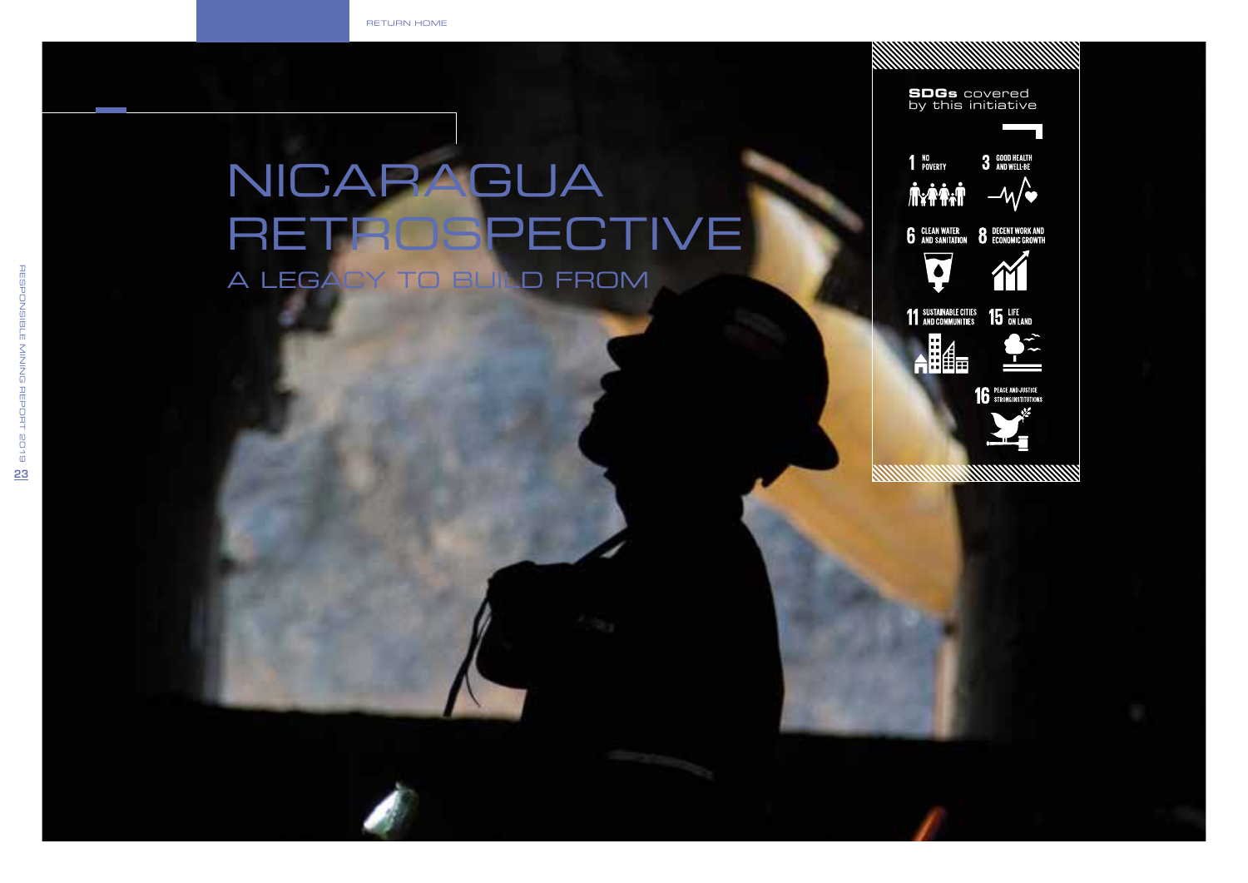return home

# NICARAGUA<br>RETROSPECTIVE A Legacy to Build From

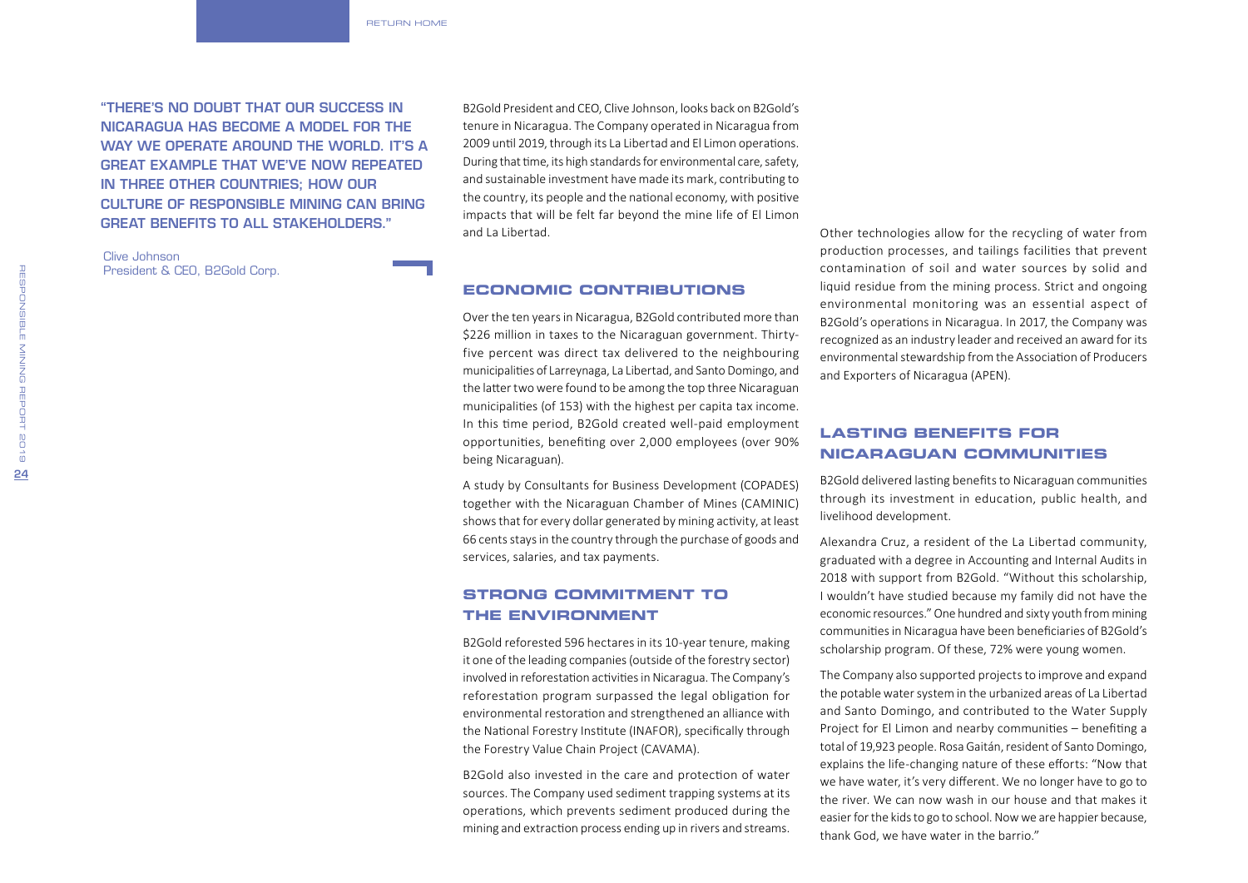"There's no doubt that our success in Nicaragua has become a model for the WAY WE OPERATE AROUND THE WORLD. IT'S A great example that we've now repeated in three other countries; how our culture of responsible mining can bring great benefits to all stakeholders."

Clive Johnson President & CEO, B2Gold Corp. B2Gold President and CEO, Clive Johnson, looks back on B2Gold's tenure in Nicaragua. The Company operated in Nicaragua from 2009 until 2019, through its La Libertad and El Limon operations. During that time, its high standards for environmental care, safety, and sustainable investment have made its mark, contributing to the country, its people and the national economy, with positive impacts that will be felt far beyond the mine life of El Limon and La Libertad.

#### **Economic Contributions**

Over the ten years in Nicaragua, B2Gold contributed more than \$226 million in taxes to the Nicaraguan government. Thirtyfive percent was direct tax delivered to the neighbouring municipalities of Larreynaga, La Libertad, and Santo Domingo, and the latter two were found to be among the top three Nicaraguan municipalities (of 153) with the highest per capita tax income. In this time period, B2Gold created well-paid employment opportunities, benefiting over 2,000 employees (over 90% being Nicaraguan).

A study by Consultants for Business Development (COPADES) together with the Nicaraguan Chamber of Mines (CAMINIC) shows that for every dollar generated by mining activity, at least 66 cents stays in the country through the purchase of goods and services, salaries, and tax payments.

# **Strong Commitment to the Environment**

B2Gold reforested 596 hectares in its 10-year tenure, making it one of the leading companies (outside of the forestry sector) involved in reforestation activities in Nicaragua. The Company's reforestation program surpassed the legal obligation for environmental restoration and strengthened an alliance with the National Forestry Institute (INAFOR), specifically through the Forestry Value Chain Project (CAVAMA).

B2Gold also invested in the care and protection of water sources. The Company used sediment trapping systems at its operations, which prevents sediment produced during the mining and extraction process ending up in rivers and streams.

Other technologies allow for the recycling of water from production processes, and tailings facilities that prevent contamination of soil and water sources by solid and liquid residue from the mining process. Strict and ongoing environmental monitoring was an essential aspect of B2Gold's operations in Nicaragua. In 2017, the Company was recognized as an industry leader and received an award for its environmental stewardship from the Association of Producers and Exporters of Nicaragua (APEN).

# **Lasting Benefits for Nicaraguan Communities**

B2Gold delivered lasting benefits to Nicaraguan communities through its investment in education, public health, and livelihood development.

Alexandra Cruz, a resident of the La Libertad community, graduated with a degree in Accounting and Internal Audits in 2018 with support from B2Gold. "Without this scholarship, I wouldn't have studied because my family did not have the economic resources." One hundred and sixty youth from mining communities in Nicaragua have been beneficiaries of B2Gold's scholarship program. Of these, 72% were young women.

The Company also supported projects to improve and expand the potable water system in the urbanized areas of La Libertad and Santo Domingo, and contributed to the Water Supply Project for El Limon and nearby communities – benefiting a total of 19,923 people. Rosa Gaitán, resident of Santo Domingo, explains the life-changing nature of these efforts: "Now that we have water, it's very different. We no longer have to go to the river. We can now wash in our house and that makes it easier for the kids to go to school. Now we are happier because, thank God, we have water in the barrio."